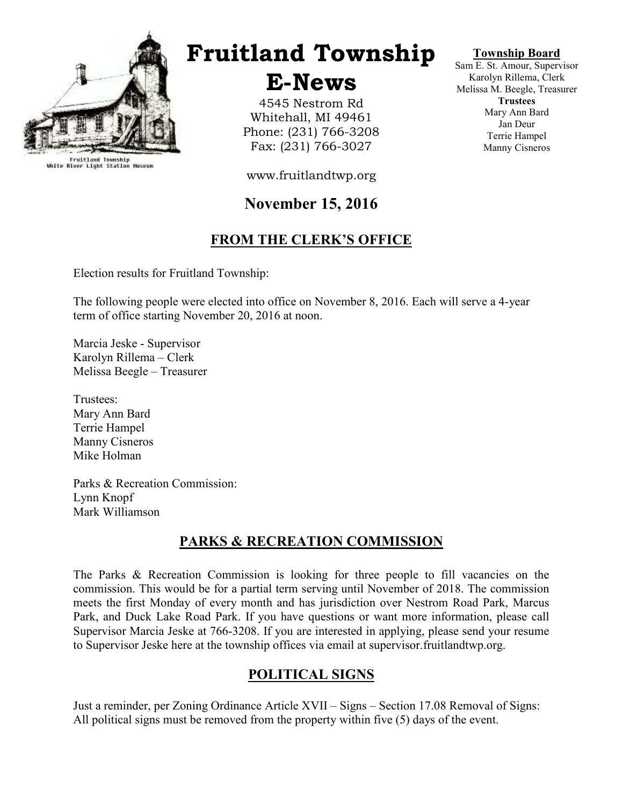

Fruitland Township<br>White River Light Station Museum

# Fruitland Township

## E-News

4545 Nestrom Rd Whitehall, MI 49461 Phone: (231) 766-3208 Fax: (231) 766-3027

#### Township Board

Sam E. St. Amour, Supervisor Karolyn Rillema, Clerk Melissa M. Beegle, Treasurer **Trustees** Mary Ann Bard Jan Deur Terrie Hampel Manny Cisneros

www.fruitlandtwp.org

## November 15, 2016

## FROM THE CLERK'S OFFICE

Election results for Fruitland Township:

The following people were elected into office on November 8, 2016. Each will serve a 4-year term of office starting November 20, 2016 at noon.

Marcia Jeske - Supervisor Karolyn Rillema – Clerk Melissa Beegle – Treasurer

Trustees: Mary Ann Bard Terrie Hampel Manny Cisneros Mike Holman

Parks & Recreation Commission: Lynn Knopf Mark Williamson

### PARKS & RECREATION COMMISSION

The Parks & Recreation Commission is looking for three people to fill vacancies on the commission. This would be for a partial term serving until November of 2018. The commission meets the first Monday of every month and has jurisdiction over Nestrom Road Park, Marcus Park, and Duck Lake Road Park. If you have questions or want more information, please call Supervisor Marcia Jeske at 766-3208. If you are interested in applying, please send your resume to Supervisor Jeske here at the township offices via email at supervisor.fruitlandtwp.org.

### POLITICAL SIGNS

Just a reminder, per Zoning Ordinance Article XVII – Signs – Section 17.08 Removal of Signs: All political signs must be removed from the property within five (5) days of the event.